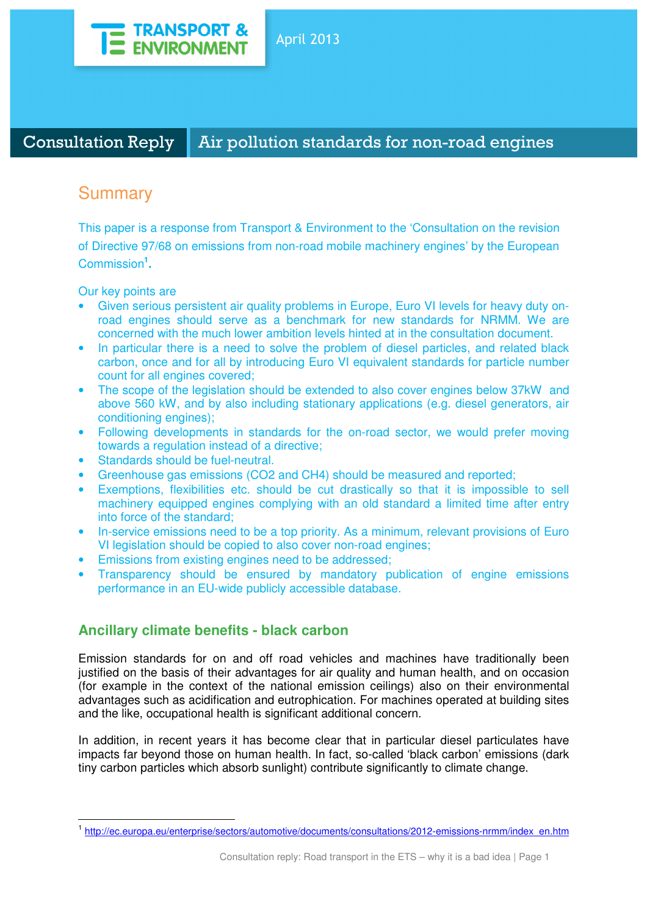

Consultation Reply Air pollution standards for non-road engines

# Summary

This paper is a response from Transport & Environment to the 'Consultation on the revision of Directive 97/68 on emissions from non-road mobile machinery engines' by the European Commission**<sup>1</sup> .** 

Our key points are

 $\overline{a}$ 

- Given serious persistent air quality problems in Europe, Euro VI levels for heavy duty onroad engines should serve as a benchmark for new standards for NRMM. We are concerned with the much lower ambition levels hinted at in the consultation document.
- In particular there is a need to solve the problem of diesel particles, and related black carbon, once and for all by introducing Euro VI equivalent standards for particle number count for all engines covered;
- The scope of the legislation should be extended to also cover engines below 37kW and above 560 kW, and by also including stationary applications (e.g. diesel generators, air conditioning engines);
- Following developments in standards for the on-road sector, we would prefer moving towards a regulation instead of a directive;
- Standards should be fuel-neutral.
- Greenhouse gas emissions (CO2 and CH4) should be measured and reported;
- Exemptions, flexibilities etc. should be cut drastically so that it is impossible to sell machinery equipped engines complying with an old standard a limited time after entry into force of the standard;
- In-service emissions need to be a top priority. As a minimum, relevant provisions of Euro VI legislation should be copied to also cover non-road engines;
- Emissions from existing engines need to be addressed;
- Transparency should be ensured by mandatory publication of engine emissions performance in an EU-wide publicly accessible database.

## **Ancillary climate benefits - black carbon**

Emission standards for on and off road vehicles and machines have traditionally been justified on the basis of their advantages for air quality and human health, and on occasion (for example in the context of the national emission ceilings) also on their environmental advantages such as acidification and eutrophication. For machines operated at building sites and the like, occupational health is significant additional concern.

In addition, in recent years it has become clear that in particular diesel particulates have impacts far beyond those on human health. In fact, so-called 'black carbon' emissions (dark tiny carbon particles which absorb sunlight) contribute significantly to climate change.

<sup>1</sup> http://ec.europa.eu/enterprise/sectors/automotive/documents/consultations/2012-emissions-nrmm/index\_en.htm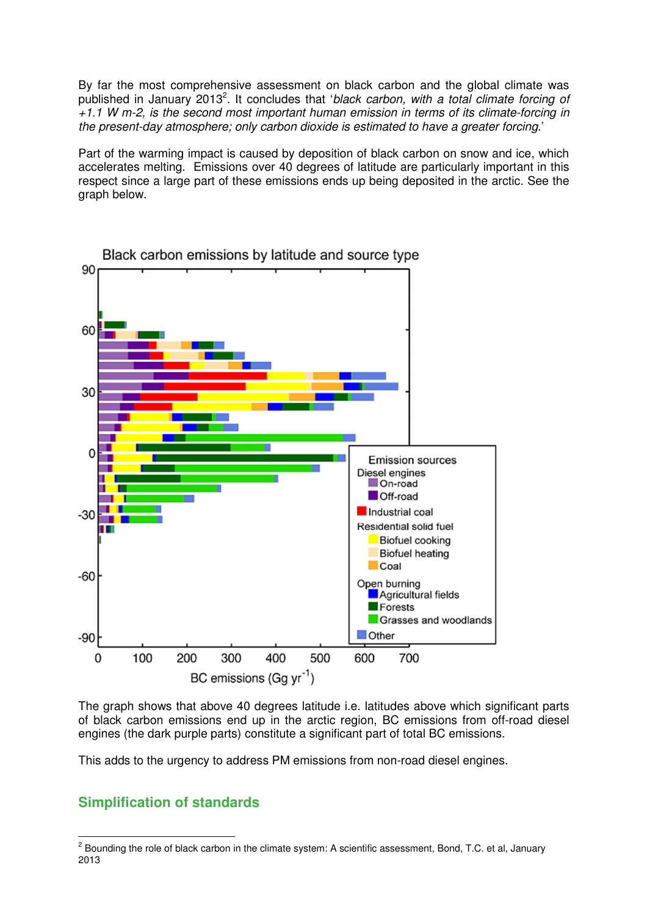By far the most comprehensive assessment on black carbon and the global climate was published in January 2013<sup>2</sup>. It concludes that 'black carbon, with a total climate forcing of +1.1 W m-2, is the second most important human emission in terms of its climate-forcing in the present-day atmosphere; only carbon dioxide is estimated to have a greater forcing.'

Part of the warming impact is caused by deposition of black carbon on snow and ice, which accelerates melting. Emissions over 40 degrees of latitude are particularly important in this respect since a large part of these emissions ends up being deposited in the arctic. See the graph below.



Black carbon emissions by latitude and source type

The graph shows that above 40 degrees latitude i.e. latitudes above which significant parts of black carbon emissions end up in the arctic region, BC emissions from off-road diesel engines (the dark purple parts) constitute a significant part of total BC emissions.

This adds to the urgency to address PM emissions from non-road diesel engines.

## **Simplification of standards**

 $\overline{a}$ 

 $2$  Bounding the role of black carbon in the climate system: A scientific assessment, Bond, T.C. et al, January 2013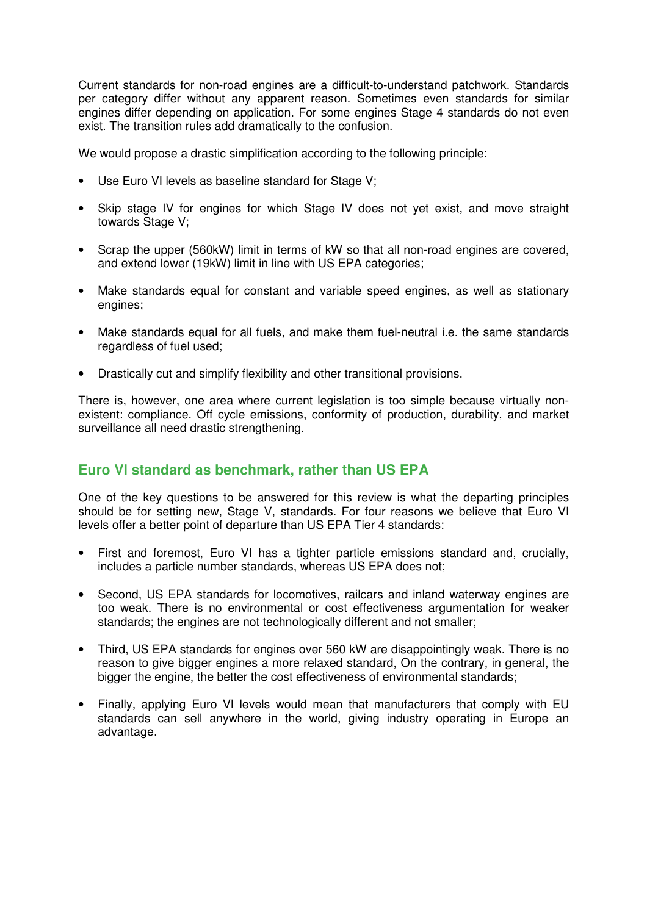Current standards for non-road engines are a difficult-to-understand patchwork. Standards per category differ without any apparent reason. Sometimes even standards for similar engines differ depending on application. For some engines Stage 4 standards do not even exist. The transition rules add dramatically to the confusion.

We would propose a drastic simplification according to the following principle:

- Use Euro VI levels as baseline standard for Stage V;
- Skip stage IV for engines for which Stage IV does not yet exist, and move straight towards Stage V;
- Scrap the upper (560kW) limit in terms of kW so that all non-road engines are covered, and extend lower (19kW) limit in line with US EPA categories;
- Make standards equal for constant and variable speed engines, as well as stationary engines;
- Make standards equal for all fuels, and make them fuel-neutral i.e. the same standards regardless of fuel used;
- Drastically cut and simplify flexibility and other transitional provisions.

There is, however, one area where current legislation is too simple because virtually nonexistent: compliance. Off cycle emissions, conformity of production, durability, and market surveillance all need drastic strengthening.

## **Euro VI standard as benchmark, rather than US EPA**

One of the key questions to be answered for this review is what the departing principles should be for setting new, Stage V, standards. For four reasons we believe that Euro VI levels offer a better point of departure than US EPA Tier 4 standards:

- First and foremost, Euro VI has a tighter particle emissions standard and, crucially, includes a particle number standards, whereas US EPA does not;
- Second, US EPA standards for locomotives, railcars and inland waterway engines are too weak. There is no environmental or cost effectiveness argumentation for weaker standards; the engines are not technologically different and not smaller;
- Third, US EPA standards for engines over 560 kW are disappointingly weak. There is no reason to give bigger engines a more relaxed standard, On the contrary, in general, the bigger the engine, the better the cost effectiveness of environmental standards;
- Finally, applying Euro VI levels would mean that manufacturers that comply with EU standards can sell anywhere in the world, giving industry operating in Europe an advantage.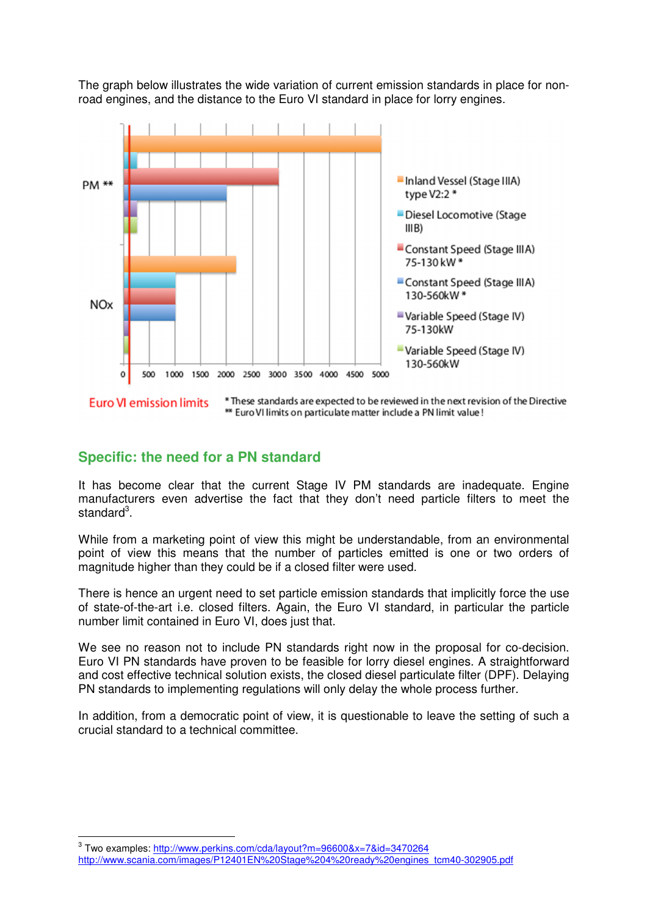The graph below illustrates the wide variation of current emission standards in place for nonroad engines, and the distance to the Euro VI standard in place for lorry engines.



\* These standards are expected to be reviewed in the next revision of the Directive **Euro VI emission limits** \*\* Euro VI limits on particulate matter include a PN limit value !

#### **Specific: the need for a PN standard**

It has become clear that the current Stage IV PM standards are inadequate. Engine manufacturers even advertise the fact that they don't need particle filters to meet the standard<sup>3</sup>.

While from a marketing point of view this might be understandable, from an environmental point of view this means that the number of particles emitted is one or two orders of magnitude higher than they could be if a closed filter were used.

There is hence an urgent need to set particle emission standards that implicitly force the use of state-of-the-art i.e. closed filters. Again, the Euro VI standard, in particular the particle number limit contained in Euro VI, does just that.

We see no reason not to include PN standards right now in the proposal for co-decision. Euro VI PN standards have proven to be feasible for lorry diesel engines. A straightforward and cost effective technical solution exists, the closed diesel particulate filter (DPF). Delaying PN standards to implementing regulations will only delay the whole process further.

In addition, from a democratic point of view, it is questionable to leave the setting of such a crucial standard to a technical committee.

 $\overline{a}$ 

<sup>&</sup>lt;sup>3</sup> Two examples: <u>http://www.perkins.com/cda/layout?m=96600&x=7&id=3470264</u>

http://www.scania.com/images/P12401EN%20Stage%204%20ready%20engines\_tcm40-302905.pdf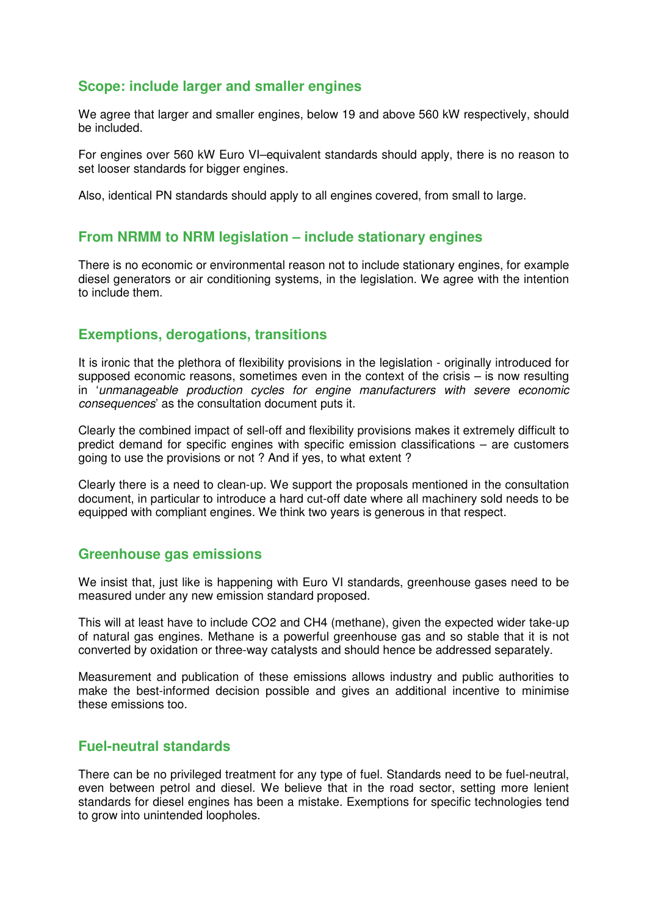## **Scope: include larger and smaller engines**

We agree that larger and smaller engines, below 19 and above 560 kW respectively, should be included.

For engines over 560 kW Euro VI–equivalent standards should apply, there is no reason to set looser standards for bigger engines.

Also, identical PN standards should apply to all engines covered, from small to large.

#### **From NRMM to NRM legislation – include stationary engines**

There is no economic or environmental reason not to include stationary engines, for example diesel generators or air conditioning systems, in the legislation. We agree with the intention to include them.

#### **Exemptions, derogations, transitions**

It is ironic that the plethora of flexibility provisions in the legislation - originally introduced for supposed economic reasons, sometimes even in the context of the crisis – is now resulting in 'unmanageable production cycles for engine manufacturers with severe economic consequences' as the consultation document puts it.

Clearly the combined impact of sell-off and flexibility provisions makes it extremely difficult to predict demand for specific engines with specific emission classifications – are customers going to use the provisions or not ? And if yes, to what extent ?

Clearly there is a need to clean-up. We support the proposals mentioned in the consultation document, in particular to introduce a hard cut-off date where all machinery sold needs to be equipped with compliant engines. We think two years is generous in that respect.

#### **Greenhouse gas emissions**

We insist that, just like is happening with Euro VI standards, greenhouse gases need to be measured under any new emission standard proposed.

This will at least have to include CO2 and CH4 (methane), given the expected wider take-up of natural gas engines. Methane is a powerful greenhouse gas and so stable that it is not converted by oxidation or three-way catalysts and should hence be addressed separately.

Measurement and publication of these emissions allows industry and public authorities to make the best-informed decision possible and gives an additional incentive to minimise these emissions too.

## **Fuel-neutral standards**

There can be no privileged treatment for any type of fuel. Standards need to be fuel-neutral, even between petrol and diesel. We believe that in the road sector, setting more lenient standards for diesel engines has been a mistake. Exemptions for specific technologies tend to grow into unintended loopholes.